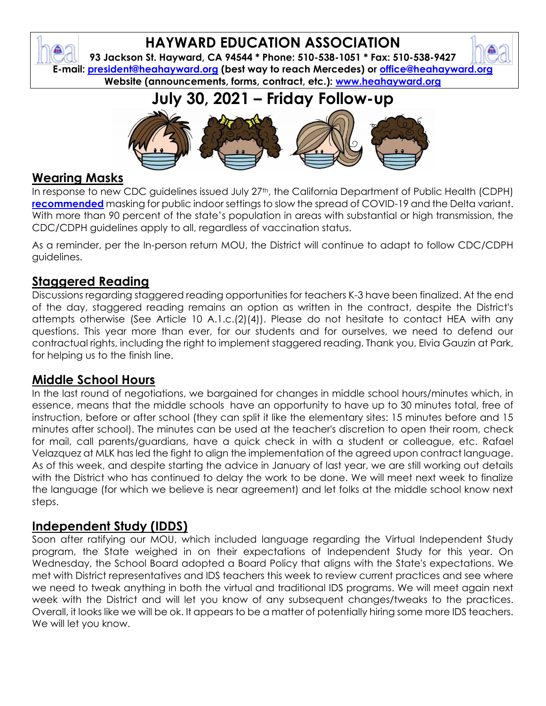## **HAYWARD EDUCATION ASSOCIATION**

**93 Jackson St. Hayward, CA 94544 \* Phone: 510-538-1051 \* Fax: 510-538-9427 E-mail: [president@heahayward.org](mailto:president@heahayward.org) (best way to reach Mercedes) or [office@heahayward.org](mailto:office@heahayward.org) Website (announcements, forms, contract, etc.): [www.heahayward.org](http://www.heahayward.org/)**

**July 30, 2021 – Friday Follow-up**



## **Wearing Masks**

In response to new CDC guidelines issued July 27<sup>th</sup>, the California Department of Public Health (CDPH) **[recommended](https://www.cdph.ca.gov/Programs/OPA/Pages/NR21-234.aspx)** masking for public indoor settings to slow the spread of COVID-19 and the Delta variant. With more than 90 percent of the state's population in areas with substantial or high transmission, the CDC/CDPH guidelines apply to all, regardless of vaccination status.

As a reminder, per the In-person return MOU, the District will continue to adapt to follow CDC/CDPH guidelines.

## **Staggered Reading**

Discussions regarding staggered reading opportunities for teachers K-3 have been finalized. At the end of the day, staggered reading remains an option as written in the contract, despite the District's attempts otherwise (See Article 10 A.1.c.(2)(4)). Please do not hesitate to contact HEA with any questions. This year more than ever, for our students and for ourselves, we need to defend our contractual rights, including the right to implement staggered reading. Thank you, Elvia Gauzin at Park, for helping us to the finish line.

#### **Middle School Hours**

In the last round of negotiations, we bargained for changes in middle school hours/minutes which, in essence, means that the middle schools have an opportunity to have up to 30 minutes total, free of instruction, before or after school (they can split it like the elementary sites: 15 minutes before and 15 minutes after school). The minutes can be used at the teacher's discretion to open their room, check for mail, call parents/guardians, have a quick check in with a student or colleague, etc. Rafael Velazquez at MLK has led the fight to align the implementation of the agreed upon contract language. As of this week, and despite starting the advice in January of last year, we are still working out details with the District who has continued to delay the work to be done. We will meet next week to finalize the language (for which we believe is near agreement) and let folks at the middle school know next steps.

## **Independent Study (IDDS)**

Soon after ratifying our MOU, which included language regarding the Virtual Independent Study program, the State weighed in on their expectations of Independent Study for this year. On Wednesday, the School Board adopted a Board Policy that aligns with the State's expectations. We met with District representatives and IDS teachers this week to review current practices and see where we need to tweak anything in both the virtual and traditional IDS programs. We will meet again next week with the District and will let you know of any subsequent changes/tweaks to the practices. Overall, it looks like we will be ok. It appears to be a matter of potentially hiring some more IDS teachers. We will let you know.